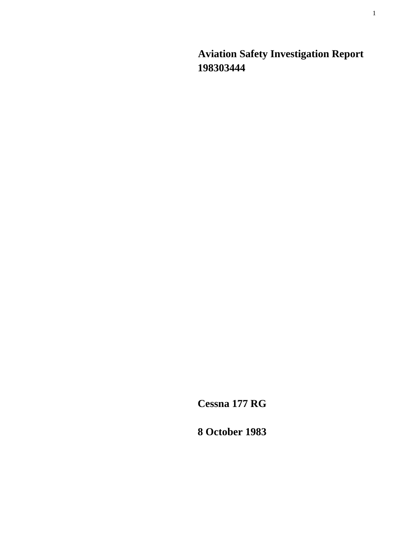**Aviation Safety Investigation Report 198303444** 

**Cessna 177 RG** 

**8 October 1983**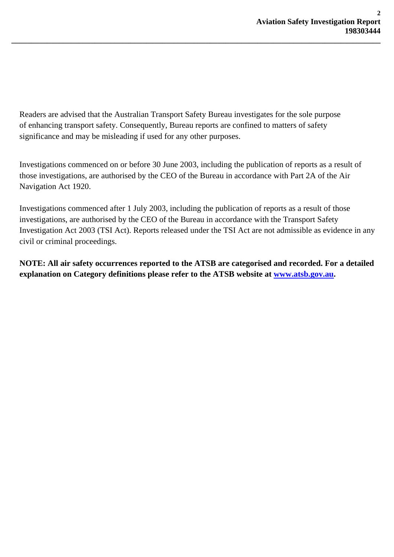Readers are advised that the Australian Transport Safety Bureau investigates for the sole purpose of enhancing transport safety. Consequently, Bureau reports are confined to matters of safety significance and may be misleading if used for any other purposes.

**\_\_\_\_\_\_\_\_\_\_\_\_\_\_\_\_\_\_\_\_\_\_\_\_\_\_\_\_\_\_\_\_\_\_\_\_\_\_\_\_\_\_\_\_\_\_\_\_\_\_\_\_\_\_\_\_\_\_\_\_\_\_\_\_\_\_\_\_\_\_\_\_\_\_\_\_\_\_\_\_\_\_\_\_\_\_\_\_\_\_\_\_\_** 

Investigations commenced on or before 30 June 2003, including the publication of reports as a result of those investigations, are authorised by the CEO of the Bureau in accordance with Part 2A of the Air Navigation Act 1920.

Investigations commenced after 1 July 2003, including the publication of reports as a result of those investigations, are authorised by the CEO of the Bureau in accordance with the Transport Safety Investigation Act 2003 (TSI Act). Reports released under the TSI Act are not admissible as evidence in any civil or criminal proceedings.

**NOTE: All air safety occurrences reported to the ATSB are categorised and recorded. For a detailed explanation on Category definitions please refer to the ATSB website at [www.atsb.gov.au](http://www.atsb.gov.au/).**